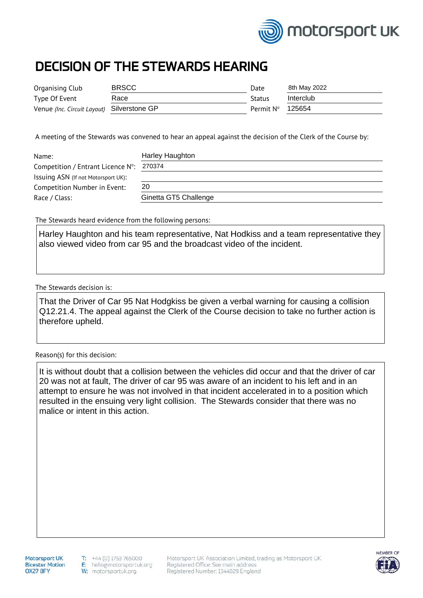

## DECISION OF THE STEWARDS HEARING

| Organising Club                            | <b>BRSCC</b> | Date      | 8th May 2022 |
|--------------------------------------------|--------------|-----------|--------------|
| Type Of Event                              | Race         | Status    | Interclub    |
| Venue (Inc. Circuit Layout) Silverstone GP |              | Permit N° | 125654       |

A meeting of the Stewards was convened to hear an appeal against the decision of the Clerk of the Course by:

| Name:                               | Harley Haughton       |
|-------------------------------------|-----------------------|
| Competition / Entrant Licence N°:   | 270374                |
| Issuing ASN (If not Motorsport UK): |                       |
| <b>Competition Number in Event:</b> | 20                    |
| Race / Class:                       | Ginetta GT5 Challenge |

The Stewards heard evidence from the following persons:

Harley Haughton and his team representative, Nat Hodkiss and a team representative they also viewed video from car 95 and the broadcast video of the incident.

The Stewards decision is:

That the Driver of Car 95 Nat Hodgkiss be given a verbal warning for causing a collision Q12.21.4. The appeal against the Clerk of the Course decision to take no further action is therefore upheld.

Reason(s) for this decision:

It is without doubt that a collision between the vehicles did occur and that the driver of car 20 was not at fault, The driver of car 95 was aware of an incident to his left and in an attempt to ensure he was not involved in that incident accelerated in to a position which resulted in the ensuing very light collision. The Stewards consider that there was no malice or intent in this action.

Motorsport UK **Bicester Motion** OX27 8FY

Motorsport UK Association Limited, trading as Motorsport UK Registered Office: See main address Registered Number: 1344829 England